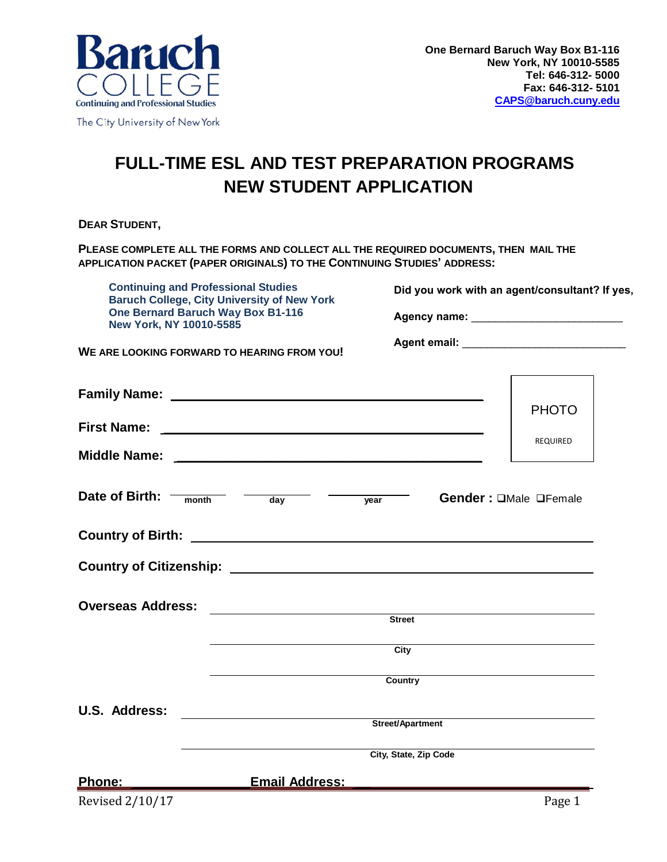

## **FULL-TIME ESL AND TEST PREPARATION PROGRAMS NEW STUDENT APPLICATION**

**DEAR STUDENT,** 

**PLEASE COMPLETE ALL THE FORMS AND COLLECT ALL THE REQUIRED DOCUMENTS, THEN MAIL THE APPLICATION PACKET (PAPER ORIGINALS) TO THE CONTINUING STUDIES' ADDRESS:** 

**Continuing and Professional Studies Baruch College, City University of New York One Bernard Baruch Way Box B1-116 New York, NY 10010-5585**

**WE ARE LOOKING FORWARD TO HEARING FROM YOU!** 

**Did you work with an agent/consultant? If yes,**

Agency name: **Agency** name: *Agency* name: *Agency* name: *Agency* name: *Agency* name: *Agency* name: *Agency* name: *Agency* name: *Agency* name: *Agency* name: *Agency* name: *Agency* name: *Agenc* 

**Agent email:**  $\blacksquare$ 

|                                                                                        |                                                               |                  |                       | <b>PHOTO</b>          |
|----------------------------------------------------------------------------------------|---------------------------------------------------------------|------------------|-----------------------|-----------------------|
|                                                                                        |                                                               |                  |                       | REQUIRED              |
|                                                                                        |                                                               |                  |                       |                       |
| Date of Birth: $\frac{1}{\text{month}}$ $\frac{1}{\text{day}}$ $\frac{1}{\text{year}}$ |                                                               |                  |                       | Gender: OMale OFemale |
|                                                                                        |                                                               |                  |                       |                       |
|                                                                                        |                                                               |                  |                       |                       |
| <b>Overseas Address:</b>                                                               |                                                               | <b>Street</b>    |                       |                       |
|                                                                                        |                                                               |                  |                       |                       |
|                                                                                        |                                                               | City             |                       |                       |
|                                                                                        |                                                               | Country          |                       |                       |
| U.S. Address:                                                                          |                                                               |                  |                       |                       |
|                                                                                        | <u> 1989 - Johann Stein, mars an deutscher Stein († 1958)</u> | Street/Apartment |                       |                       |
|                                                                                        |                                                               |                  | City, State, Zip Code |                       |
| <u>Phone: ____________________</u>                                                     | Email Address:                                                |                  |                       |                       |
| Revised 2/10/17                                                                        |                                                               |                  |                       | Page 1                |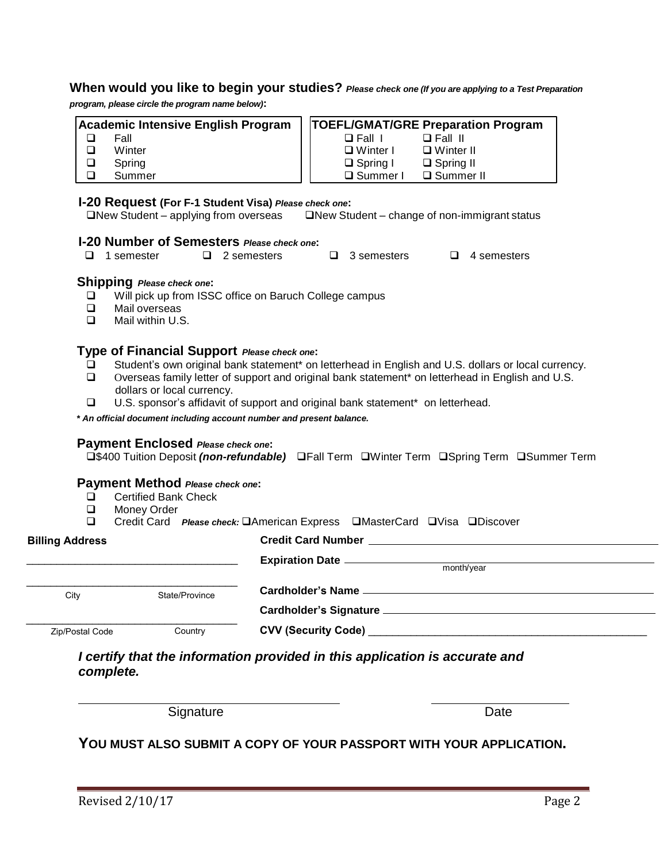#### **When would you like to begin your studies?** *Please check one (If you are applying to a Test Preparation*

*program, please circle the program name below)***:**

| Academic Intensive English Program |        |  | <b>TOEFL/GMAT/GRE Preparation Program</b> |                  |  |  |
|------------------------------------|--------|--|-------------------------------------------|------------------|--|--|
|                                    | Fall   |  | $\Box$ Fall $\Box$                        | $\Box$ Fall II   |  |  |
|                                    | Winter |  | $\Box$ Winter I                           | $\Box$ Winter II |  |  |
| ❏                                  | Spring |  | $\Box$ Spring I                           | $\Box$ Spring II |  |  |
|                                    | Summer |  | □ Summer I                                | $\Box$ Summer II |  |  |

#### **I-20 Request (For F-1 Student Visa)** *Please check one***:**

 $\Box$ New Student – applying from overseas  $\Box$ New Student – change of non-immigrant status

#### **I-20 Number of Semesters** *Please check one***:**

|  | $\Box$ 1 semester |  | $\Box$ 2 semesters |  | $\Box$ 3 semesters |  | $\Box$ 4 semesters |
|--|-------------------|--|--------------------|--|--------------------|--|--------------------|
|--|-------------------|--|--------------------|--|--------------------|--|--------------------|

#### **Shipping** *Please check one***:**

- Will pick up from ISSC office on Baruch College campus
- Mail overseas
- Mail within U.S.

#### **Type of Financial Support** *Please check one***:**

- **□** Student's own original bank statement<sup>\*</sup> on letterhead in English and U.S. dollars or local currency.<br>□ Overseas family letter of support and original bank statement<sup>\*</sup> on letterhead in English and U.S.
- Overseas family letter of support and original bank statement\* on letterhead in English and U.S. dollars or local currency.
- U.S. sponsor's affidavit of support and original bank statement\* on letterhead.

*\* An official document including account number and present balance.*

#### **Payment Enclosed** *Please check one***:**

**□\$400 Tuition Deposit** *(non-refundable)* □Fall Term □Winter Term □Spring Term □Summer Term

#### **Payment Method** *Please check one***:**

- □ Certified Bank Check<br>□ Monev Order
- □ Money Order<br>□ Credit Card

Credit Card *Please check:* **American Express EMasterCard EVisa EDiscover** 

| <b>Billing Address</b> |                | <b>Credit Card Number</b>  |
|------------------------|----------------|----------------------------|
|                        |                | month/year                 |
| City                   | State/Province |                            |
|                        |                |                            |
| Zip/Postal Code        | Country        | <b>CVV (Security Code)</b> |

*I certify that the information provided in this application is accurate and complete.*

Signature Date **Date** 

#### **YOU MUST ALSO SUBMIT A COPY OF YOUR PASSPORT WITH YOUR APPLICATION.**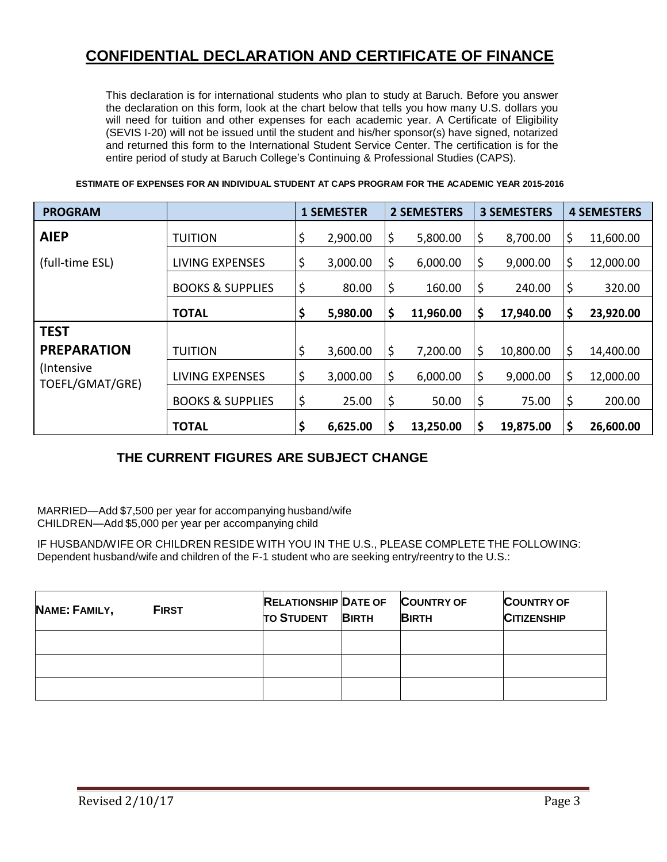### **CONFIDENTIAL DECLARATION AND CERTIFICATE OF FINANCE**

This declaration is for international students who plan to study at Baruch. Before you answer the declaration on this form, look at the chart below that tells you how many U.S. dollars you will need for tuition and other expenses for each academic year. A Certificate of Eligibility (SEVIS I-20) will not be issued until the student and his/her sponsor(s) have signed, notarized and returned this form to the International Student Service Center. The certification is for the entire period of study at Baruch College's Continuing & Professional Studies (CAPS).

**ESTIMATE OF EXPENSES FOR AN INDIVIDUAL STUDENT AT CAPS PROGRAM FOR THE ACADEMIC YEAR 2015-2016** 

| <b>PROGRAM</b>                 |                             | <b>1 SEMESTER</b> |          | <b>2 SEMESTERS</b> |    | <b>3 SEMESTERS</b> |    | <b>4 SEMESTERS</b> |  |
|--------------------------------|-----------------------------|-------------------|----------|--------------------|----|--------------------|----|--------------------|--|
| <b>AIEP</b>                    | <b>TUITION</b>              | \$                | 2,900.00 | \$<br>5,800.00     | \$ | 8,700.00           | \$ | 11,600.00          |  |
| (full-time ESL)                | LIVING EXPENSES             | \$                | 3,000.00 | \$<br>6,000.00     | \$ | 9,000.00           | \$ | 12,000.00          |  |
|                                | <b>BOOKS &amp; SUPPLIES</b> | \$                | 80.00    | \$<br>160.00       | \$ | 240.00             | \$ | 320.00             |  |
|                                | <b>TOTAL</b>                | \$                | 5,980.00 | \$<br>11,960.00    | \$ | 17,940.00          | \$ | 23,920.00          |  |
| <b>TEST</b>                    |                             |                   |          |                    |    |                    |    |                    |  |
| <b>PREPARATION</b>             | <b>TUITION</b>              | \$                | 3,600.00 | \$<br>7,200.00     | \$ | 10,800.00          | \$ | 14,400.00          |  |
| (Intensive)<br>TOEFL/GMAT/GRE) | LIVING EXPENSES             | \$                | 3,000.00 | \$<br>6,000.00     | \$ | 9,000.00           | \$ | 12,000.00          |  |
|                                | <b>BOOKS &amp; SUPPLIES</b> | \$                | 25.00    | \$<br>50.00        | \$ | 75.00              | \$ | 200.00             |  |
|                                | <b>TOTAL</b>                | \$                | 6,625.00 | \$<br>13,250.00    | \$ | 19,875.00          | \$ | 26,600.00          |  |

#### **THE CURRENT FIGURES ARE SUBJECT CHANGE**

MARRIED—Add \$7,500 per year for accompanying husband/wife CHILDREN—Add \$5,000 per year per accompanying child

IF HUSBAND/WIFE OR CHILDREN RESIDE WITH YOU IN THE U.S., PLEASE COMPLETE THE FOLLOWING: Dependent husband/wife and children of the F-1 student who are seeking entry/reentry to the U.S.:

| NAME: FAMILY, | <b>FIRST</b> | <b>RELATIONSHIP DATE OF</b><br><b>TO STUDENT</b> | <b>BIRTH</b> | <b>COUNTRY OF</b><br><b>BIRTH</b> | <b>COUNTRY OF</b><br><b>CITIZENSHIP</b> |
|---------------|--------------|--------------------------------------------------|--------------|-----------------------------------|-----------------------------------------|
|               |              |                                                  |              |                                   |                                         |
|               |              |                                                  |              |                                   |                                         |
|               |              |                                                  |              |                                   |                                         |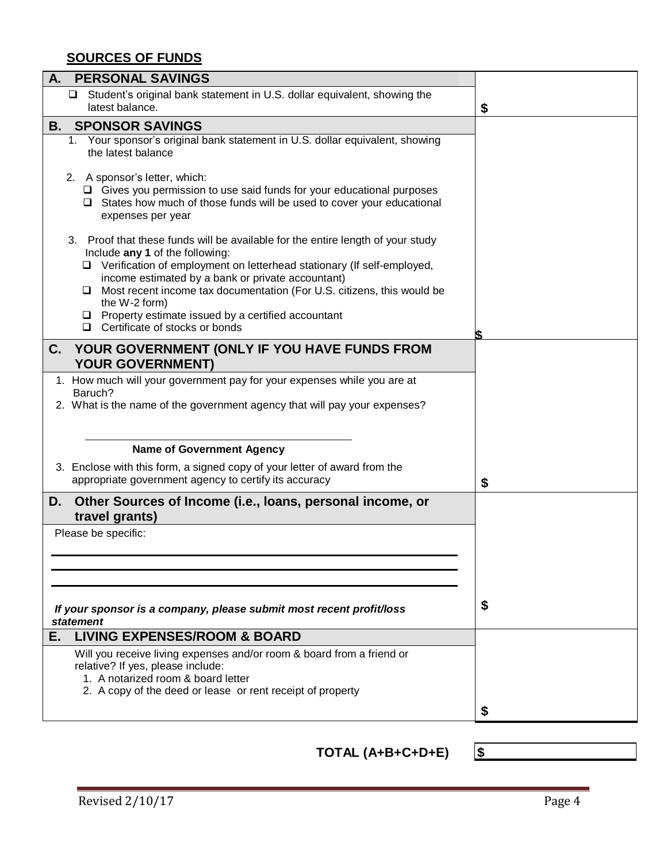### **SOURCES OF FUNDS**

| А.<br><b>PERSONAL SAVINGS</b>                                                                                                                                                                                                                                                                                                                                                                                                                               |    |
|-------------------------------------------------------------------------------------------------------------------------------------------------------------------------------------------------------------------------------------------------------------------------------------------------------------------------------------------------------------------------------------------------------------------------------------------------------------|----|
| □ Student's original bank statement in U.S. dollar equivalent, showing the<br>latest balance.                                                                                                                                                                                                                                                                                                                                                               | \$ |
| <b>SPONSOR SAVINGS</b><br>В.                                                                                                                                                                                                                                                                                                                                                                                                                                |    |
| 1. Your sponsor's original bank statement in U.S. dollar equivalent, showing<br>the latest balance                                                                                                                                                                                                                                                                                                                                                          |    |
| 2. A sponsor's letter, which:<br>$\Box$ Gives you permission to use said funds for your educational purposes<br>$\Box$ States how much of those funds will be used to cover your educational<br>expenses per year                                                                                                                                                                                                                                           |    |
| 3. Proof that these funds will be available for the entire length of your study<br>Include any 1 of the following:<br>□ Verification of employment on letterhead stationary (If self-employed,<br>income estimated by a bank or private accountant)<br>$\Box$ Most recent income tax documentation (For U.S. citizens, this would be<br>the W-2 form)<br>$\Box$ Property estimate issued by a certified accountant<br>$\Box$ Certificate of stocks or bonds |    |
|                                                                                                                                                                                                                                                                                                                                                                                                                                                             |    |
| C.<br>YOUR GOVERNMENT (ONLY IF YOU HAVE FUNDS FROM<br><b>YOUR GOVERNMENT)</b>                                                                                                                                                                                                                                                                                                                                                                               |    |
| 1. How much will your government pay for your expenses while you are at                                                                                                                                                                                                                                                                                                                                                                                     |    |
| Baruch?                                                                                                                                                                                                                                                                                                                                                                                                                                                     |    |
| 2. What is the name of the government agency that will pay your expenses?                                                                                                                                                                                                                                                                                                                                                                                   |    |
|                                                                                                                                                                                                                                                                                                                                                                                                                                                             |    |
| <b>Name of Government Agency</b>                                                                                                                                                                                                                                                                                                                                                                                                                            |    |
| 3. Enclose with this form, a signed copy of your letter of award from the<br>appropriate government agency to certify its accuracy                                                                                                                                                                                                                                                                                                                          | \$ |
| Other Sources of Income (i.e., loans, personal income, or<br>D.<br>travel grants)                                                                                                                                                                                                                                                                                                                                                                           |    |
| Please be specific:                                                                                                                                                                                                                                                                                                                                                                                                                                         |    |
|                                                                                                                                                                                                                                                                                                                                                                                                                                                             |    |
|                                                                                                                                                                                                                                                                                                                                                                                                                                                             |    |
|                                                                                                                                                                                                                                                                                                                                                                                                                                                             |    |
| If your sponsor is a company, please submit most recent profit/loss<br>statement                                                                                                                                                                                                                                                                                                                                                                            | \$ |
| <b>LIVING EXPENSES/ROOM &amp; BOARD</b><br>Е.                                                                                                                                                                                                                                                                                                                                                                                                               |    |
| Will you receive living expenses and/or room & board from a friend or<br>relative? If yes, please include:                                                                                                                                                                                                                                                                                                                                                  |    |
| 1. A notarized room & board letter                                                                                                                                                                                                                                                                                                                                                                                                                          |    |
| 2. A copy of the deed or lease or rent receipt of property                                                                                                                                                                                                                                                                                                                                                                                                  |    |
|                                                                                                                                                                                                                                                                                                                                                                                                                                                             |    |

**TOTAL (A+B+C+D+E) \$**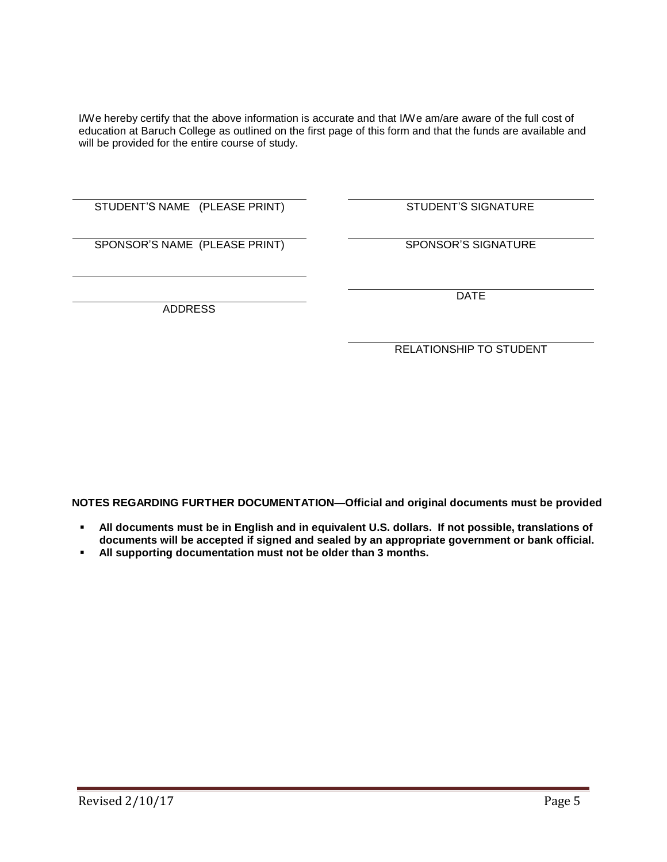I/We hereby certify that the above information is accurate and that I/We am/are aware of the full cost of education at Baruch College as outlined on the first page of this form and that the funds are available and will be provided for the entire course of study.

STUDENT'S NAME (PLEASE PRINT) STUDENT'S SIGNATURE

SPONSOR'S NAME (PLEASE PRINT) SPONSOR'S SIGNATURE

DATE

ADDRESS

RELATIONSHIP TO STUDENT

**NOTES REGARDING FURTHER DOCUMENTATION—Official and original documents must be provided**

- **All documents must be in English and in equivalent U.S. dollars. If not possible, translations of documents will be accepted if signed and sealed by an appropriate government or bank official.**
- **All supporting documentation must not be older than 3 months.**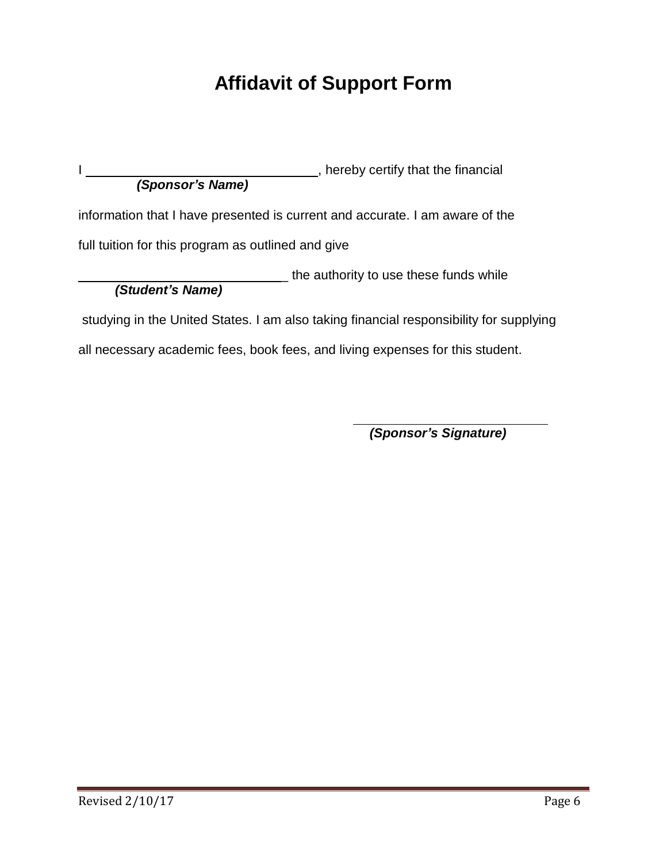# **Affidavit of Support Form**

I  $\frac{1}{1}$  , hereby certify that the financial *(Sponsor's Name)*

information that I have presented is current and accurate. I am aware of the

full tuition for this program as outlined and give

**EXECUTE:** the authority to use these funds while *(Student's Name)*

studying in the United States. I am also taking financial responsibility for supplying

all necessary academic fees, book fees, and living expenses for this student.

*(Sponsor's Signature)*